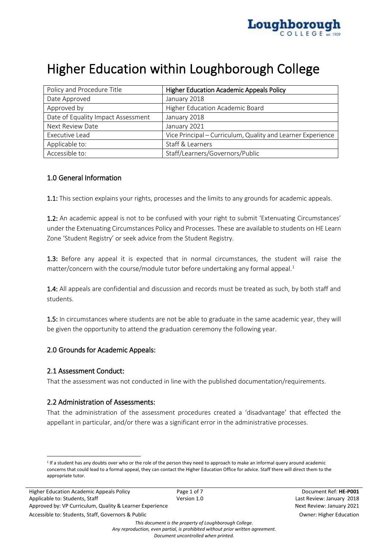# Higher Education within Loughborough College

| Policy and Procedure Title         | <b>Higher Education Academic Appeals Policy</b>             |
|------------------------------------|-------------------------------------------------------------|
| Date Approved                      | January 2018                                                |
| Approved by                        | Higher Education Academic Board                             |
| Date of Equality Impact Assessment | January 2018                                                |
| Next Review Date                   | January 2021                                                |
| Executive Lead                     | Vice Principal - Curriculum, Quality and Learner Experience |
| Applicable to:                     | Staff & Learners                                            |
| Accessible to:                     | Staff/Learners/Governors/Public                             |

# 1.0 General Information

1.1: This section explains your rights, processes and the limits to any grounds for academic appeals.

1.2: An academic appeal is not to be confused with your right to submit 'Extenuating Circumstances' under the Extenuating Circumstances Policy and Processes. These are available to students on HE Learn Zone 'Student Registry' or seek advice from the Student Registry.

1.3: Before any appeal it is expected that in normal circumstances, the student will raise the matter/concern with the course/module tutor before undertaking any formal appeal.<sup>1</sup>

1.4: All appeals are confidential and discussion and records must be treated as such, by both staff and students.

1.5: In circumstances where students are not be able to graduate in the same academic year, they will be given the opportunity to attend the graduation ceremony the following year.

#### 2.0 Grounds for Academic Appeals:

#### 2.1 Assessment Conduct:

That the assessment was not conducted in line with the published documentation/requirements.

#### 2.2 Administration of Assessments:

That the administration of the assessment procedures created a 'disadvantage' that effected the appellant in particular, and/or there was a significant error in the administrative processes.

**<sup>.</sup>** <sup>1</sup> If a student has any doubts over who or the role of the person they need to approach to make an informal query around academic concerns that could lead to a formal appeal, they can contact the Higher Education Office for advice. Staff there will direct them to the appropriate tutor.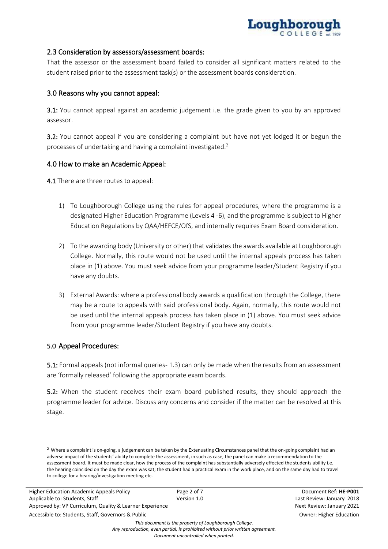

## 2.3 Consideration by assessors/assessment boards:

That the assessor or the assessment board failed to consider all significant matters related to the student raised prior to the assessment task(s) or the assessment boards consideration.

#### 3.0 Reasons why you cannot appeal:

**3.1:** You cannot appeal against an academic judgement i.e. the grade given to you by an approved assessor.

3.2: You cannot appeal if you are considering a complaint but have not yet lodged it or begun the processes of undertaking and having a complaint investigated. 2

#### 4.0 How to make an Academic Appeal:

4.1 There are three routes to appeal:

- 1) To Loughborough College using the rules for appeal procedures, where the programme is a designated Higher Education Programme (Levels 4 -6), and the programme is subject to Higher Education Regulations by QAA/HEFCE/OfS, and internally requires Exam Board consideration.
- 2) To the awarding body (University or other) that validates the awards available at Loughborough College. Normally, this route would not be used until the internal appeals process has taken place in (1) above. You must seek advice from your programme leader/Student Registry if you have any doubts.
- 3) External Awards: where a professional body awards a qualification through the College, there may be a route to appeals with said professional body. Again, normally, this route would not be used until the internal appeals process has taken place in (1) above. You must seek advice from your programme leader/Student Registry if you have any doubts.

#### 5.0 Appeal Procedures:

**.** 

5.1: Formal appeals (not informal queries- 1.3) can only be made when the results from an assessment are 'formally released' following the appropriate exam boards.

5.2: When the student receives their exam board published results, they should approach the programme leader for advice. Discuss any concerns and consider if the matter can be resolved at this stage.

<sup>&</sup>lt;sup>2</sup> Where a complaint is on-going, a judgement can be taken by the Extenuating Circumstances panel that the on-going complaint had an adverse impact of the students' ability to complete the assessment, in such as case, the panel can make a recommendation to the assessment board. It must be made clear, how the process of the complaint has substantially adversely effected the students ability i.e. the hearing coincided on the day the exam was sat; the student had a practical exam in the work place, and on the same day had to travel to college for a hearing/investigation meeting etc.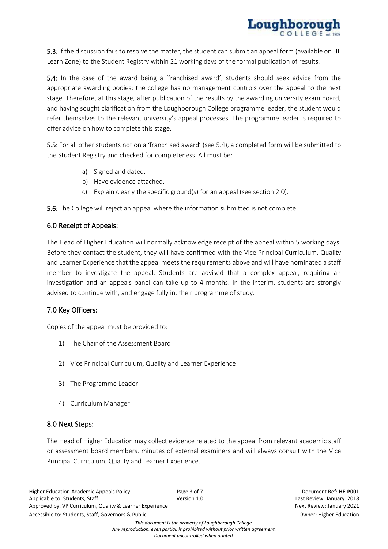

5.3: If the discussion fails to resolve the matter, the student can submit an appeal form (available on HE Learn Zone) to the Student Registry within 21 working days of the formal publication of results.

5.4: In the case of the award being a 'franchised award', students should seek advice from the appropriate awarding bodies; the college has no management controls over the appeal to the next stage. Therefore, at this stage, after publication of the results by the awarding university exam board, and having sought clarification from the Loughborough College programme leader, the student would refer themselves to the relevant university's appeal processes. The programme leader is required to offer advice on how to complete this stage.

5.5: For all other students not on a 'franchised award' (see 5.4), a completed form will be submitted to the Student Registry and checked for completeness. All must be:

- a) Signed and dated.
- b) Have evidence attached.
- c) Explain clearly the specific ground(s) for an appeal (see section 2.0).

5.6: The College will reject an appeal where the information submitted is not complete.

## 6.0 Receipt of Appeals:

The Head of Higher Education will normally acknowledge receipt of the appeal within 5 working days. Before they contact the student, they will have confirmed with the Vice Principal Curriculum, Quality and Learner Experience that the appeal meets the requirements above and will have nominated a staff member to investigate the appeal. Students are advised that a complex appeal, requiring an investigation and an appeals panel can take up to 4 months. In the interim, students are strongly advised to continue with, and engage fully in, their programme of study.

# 7.0 Key Officers:

Copies of the appeal must be provided to:

- 1) The Chair of the Assessment Board
- 2) Vice Principal Curriculum, Quality and Learner Experience
- 3) The Programme Leader
- 4) Curriculum Manager

#### 8.0 Next Steps:

The Head of Higher Education may collect evidence related to the appeal from relevant academic staff or assessment board members, minutes of external examiners and will always consult with the Vice Principal Curriculum, Quality and Learner Experience.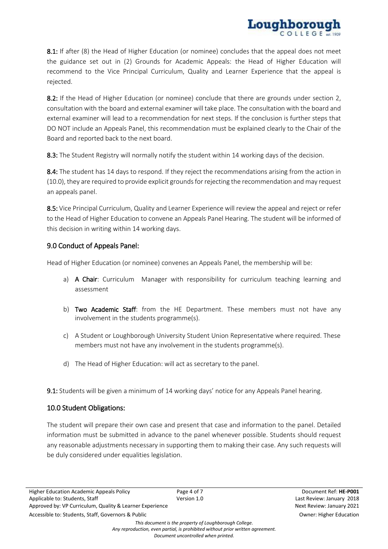

8.1: If after (8) the Head of Higher Education (or nominee) concludes that the appeal does not meet the guidance set out in (2) Grounds for Academic Appeals: the Head of Higher Education will recommend to the Vice Principal Curriculum, Quality and Learner Experience that the appeal is rejected.

8.2: If the Head of Higher Education (or nominee) conclude that there are grounds under section 2, consultation with the board and external examiner will take place. The consultation with the board and external examiner will lead to a recommendation for next steps. If the conclusion is further steps that DO NOT include an Appeals Panel, this recommendation must be explained clearly to the Chair of the Board and reported back to the next board.

8.3: The Student Registry will normally notify the student within 14 working days of the decision.

8.4: The student has 14 days to respond. If they reject the recommendations arising from the action in (10.0), they are required to provide explicit grounds for rejecting the recommendation and may request an appeals panel.

8.5: Vice Principal Curriculum, Quality and Learner Experience will review the appeal and reject or refer to the Head of Higher Education to convene an Appeals Panel Hearing. The student will be informed of this decision in writing within 14 working days.

# 9.0 Conduct of Appeals Panel:

Head of Higher Education (or nominee) convenes an Appeals Panel, the membership will be:

- a) A Chair: Curriculum Manager with responsibility for curriculum teaching learning and assessment
- b) Two Academic Staff: from the HE Department. These members must not have any involvement in the students programme(s).
- c) A Student or Loughborough University Student Union Representative where required. These members must not have any involvement in the students programme(s).
- d) The Head of Higher Education: will act as secretary to the panel.

9.1: Students will be given a minimum of 14 working days' notice for any Appeals Panel hearing.

# 10.0 Student Obligations:

The student will prepare their own case and present that case and information to the panel. Detailed information must be submitted in advance to the panel whenever possible. Students should request any reasonable adjustments necessary in supporting them to making their case. Any such requests will be duly considered under equalities legislation.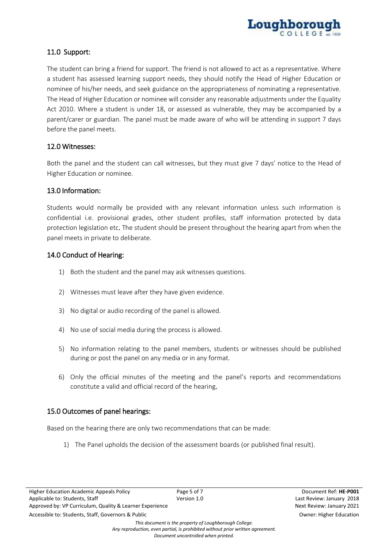

# 11.0 Support:

The student can bring a friend for support. The friend is not allowed to act as a representative. Where a student has assessed learning support needs, they should notify the Head of Higher Education or nominee of his/her needs, and seek guidance on the appropriateness of nominating a representative. The Head of Higher Education or nominee will consider any reasonable adjustments under the Equality Act 2010. Where a student is under 18, or assessed as vulnerable, they may be accompanied by a parent/carer or guardian. The panel must be made aware of who will be attending in support 7 days before the panel meets.

## 12.0 Witnesses:

Both the panel and the student can call witnesses, but they must give 7 days' notice to the Head of Higher Education or nominee.

## 13.0 Information:

Students would normally be provided with any relevant information unless such information is confidential i.e. provisional grades, other student profiles, staff information protected by data protection legislation etc. The student should be present throughout the hearing apart from when the panel meets in private to deliberate.

## 14.0 Conduct of Hearing:

- 1) Both the student and the panel may ask witnesses questions.
- 2) Witnesses must leave after they have given evidence.
- 3) No digital or audio recording of the panel is allowed.
- 4) No use of social media during the process is allowed.
- 5) No information relating to the panel members, students or witnesses should be published during or post the panel on any media or in any format.
- 6) Only the official minutes of the meeting and the panel's reports and recommendations constitute a valid and official record of the hearing.

# 15.0 Outcomes of panel hearings:

Based on the hearing there are only two recommendations that can be made:

1) The Panel upholds the decision of the assessment boards (or published final result).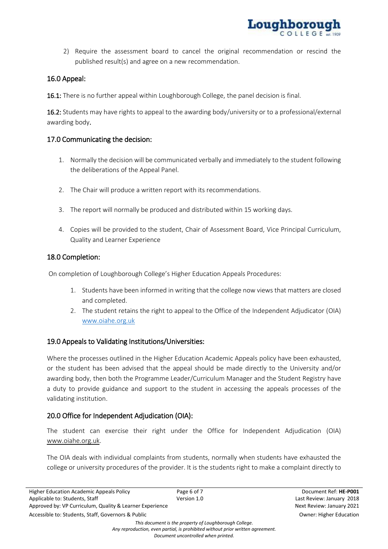

2) Require the assessment board to cancel the original recommendation or rescind the published result(s) and agree on a new recommendation.

## 16.0 Appeal:

16.1: There is no further appeal within Loughborough College, the panel decision is final.

16.2: Students may have rights to appeal to the awarding body/university or to a professional/external awarding body.

#### 17.0 Communicating the decision:

- 1. Normally the decision will be communicated verbally and immediately to the student following the deliberations of the Appeal Panel.
- 2. The Chair will produce a written report with its recommendations.
- 3. The report will normally be produced and distributed within 15 working days.
- 4. Copies will be provided to the student, Chair of Assessment Board, Vice Principal Curriculum, Quality and Learner Experience

## 18.0 Completion:

On completion of Loughborough College's Higher Education Appeals Procedures:

- 1. Students have been informed in writing that the college now views that matters are closed and completed.
- 2. The student retains the right to appeal to the Office of the Independent Adjudicator (OIA) [www.oiahe.org.uk](http://www.oiahe.org.uk/)

# 19.0 Appeals to Validating Institutions/Universities:

Where the processes outlined in the Higher Education Academic Appeals policy have been exhausted, or the student has been advised that the appeal should be made directly to the University and/or awarding body, then both the Programme Leader/Curriculum Manager and the Student Registry have a duty to provide guidance and support to the student in accessing the appeals processes of the validating institution.

# 20.0 Office for Independent Adjudication (OIA):

The student can exercise their right under the Office for Independent Adjudication (OIA) [www.oiahe.org.uk.](http://www.oiahe.org.uk/)

The OIA deals with individual complaints from students, normally when students have exhausted the college or university procedures of the provider. It is the students right to make a complaint directly to